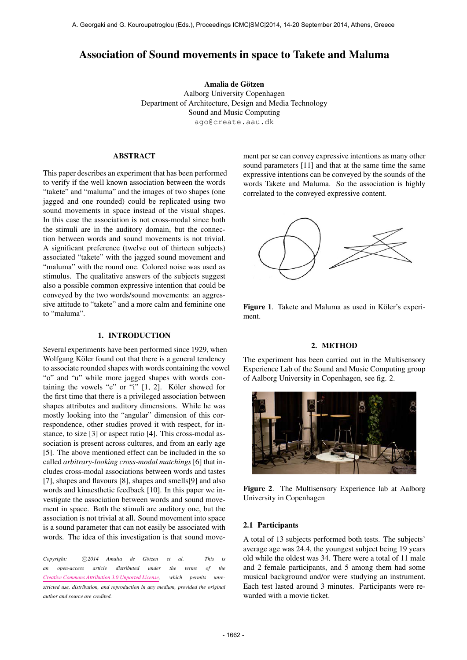# Association of Sound movements in space to Takete and Maluma

Amalia de Götzen Aalborg University Copenhagen Department of Architecture, Design and Media Technology Sound and Music Computing [ago@create.aau.dk](mailto:ago@create.aau.dk)

## ABSTRACT

This paper describes an experiment that has been performed to verify if the well known association between the words "takete" and "maluma" and the images of two shapes (one jagged and one rounded) could be replicated using two sound movements in space instead of the visual shapes. In this case the association is not cross-modal since both the stimuli are in the auditory domain, but the connection between words and sound movements is not trivial. A significant preference (twelve out of thirteen subjects) associated "takete" with the jagged sound movement and "maluma" with the round one. Colored noise was used as stimulus. The qualitative answers of the subjects suggest also a possible common expressive intention that could be conveyed by the two words/sound movements: an aggressive attitude to "takete" and a more calm and feminine one to "maluma".

## 1. INTRODUCTION

Several experiments have been performed since 1929, when Wolfgang Köler found out that there is a general tendency to associate rounded shapes with words containing the vowel "o" and "u" while more jagged shapes with words containing the vowels "e" or "i"  $[1, 2]$ . Köler showed for the first time that there is a privileged association between shapes attributes and auditory dimensions. While he was mostly looking into the "angular" dimension of this correspondence, other studies proved it with respect, for instance, to size [3] or aspect ratio [4]. This cross-modal association is present across cultures, and from an early age [5]. The above mentioned effect can be included in the so called *arbitrary-looking cross-modal matchings* [6] that includes cross-modal associations between words and tastes [7], shapes and flavours [8], shapes and smells[9] and also words and kinaesthetic feedback [10]. In this paper we investigate the association between words and sound movement in space. Both the stimuli are auditory one, but the association is not trivial at all. Sound movement into space is a sound parameter that can not easily be associated with words. The idea of this investigation is that sound move-

*Copyright:*  $\bigcirc$  2014 Amalia de Götzen et al. This is *an open-access article distributed under the terms of the [Creative Commons Attribution 3.0 Unported License,](http://creativecommons.org/licenses/by/3.0/) which permits unrestricted use, distribution, and reproduction in any medium, provided the original author and source are credited.*

ment per se can convey expressive intentions as many other sound parameters [11] and that at the same time the same expressive intentions can be conveyed by the sounds of the words Takete and Maluma. So the association is highly correlated to the conveyed expressive content.



Figure 1. Takete and Maluma as used in Köler's experiment.

#### 2. METHOD

The experiment has been carried out in the Multisensory Experience Lab of the Sound and Music Computing group of Aalborg University in Copenhagen, see fig. 2.



Figure 2. The Multisensory Experience lab at Aalborg University in Copenhagen

#### 2.1 Participants

A total of 13 subjects performed both tests. The subjects' average age was 24.4, the youngest subject being 19 years old while the oldest was 34. There were a total of 11 male and 2 female participants, and 5 among them had some musical background and/or were studying an instrument. Each test lasted around 3 minutes. Participants were rewarded with a movie ticket.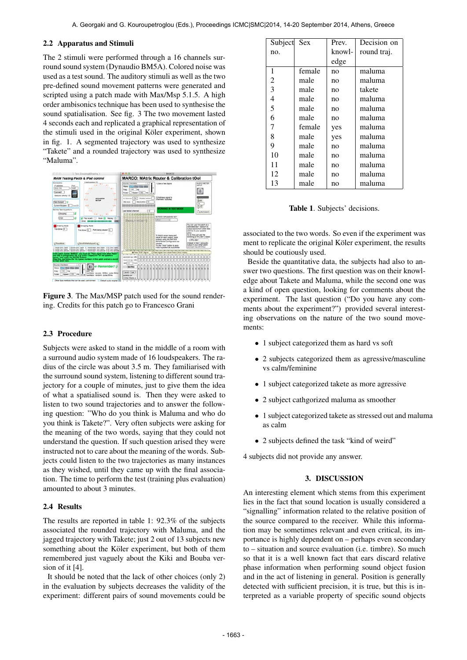# 2.2 Apparatus and Stimuli

The 2 stimuli were performed through a 16 channels surround sound system (Dynaudio BM5A). Colored noise was used as a test sound. The auditory stimuli as well as the two pre-defined sound movement patterns were generated and scripted using a patch made with Max/Msp 5.1.5. A high order ambisonics technique has been used to synthesise the sound spatialisation. See fig. 3 The two movement lasted 4 seconds each and replicated a graphical representation of the stimuli used in the original Köler experiment, shown in fig. 1. A segmented trajectory was used to synthesize "Takete" and a rounded trajectory was used to synthesize "Maluma".



Figure 3. The Max/MSP patch used for the sound rendering. Credits for this patch go to Francesco Grani

# 2.3 Procedure

Subjects were asked to stand in the middle of a room with a surround audio system made of 16 loudspeakers. The radius of the circle was about 3.5 m. They familiarised with the surround sound system, listening to different sound trajectory for a couple of minutes, just to give them the idea of what a spatialised sound is. Then they were asked to listen to two sound trajectories and to answer the following question: "Who do you think is Maluma and who do you think is Takete?". Very often subjects were asking for the meaning of the two words, saying that they could not understand the question. If such question arised they were instructed not to care about the meaning of the words. Subjects could listen to the two trajectories as many instances as they wished, until they came up with the final association. The time to perform the test (training plus evaluation) amounted to about 3 minutes.

### 2.4 Results

The results are reported in table 1: 92.3% of the subjects associated the rounded trajectory with Maluma, and the jagged trajectory with Takete; just 2 out of 13 subjects new something about the Köler experiment, but both of them remembered just vaguely about the Kiki and Bouba version of it [4].

It should be noted that the lack of other choices (only 2) in the evaluation by subjects decreases the validity of the experiment: different pairs of sound movements could be

| Subject Sex |        | Prev.  | Decision on |
|-------------|--------|--------|-------------|
| no.         |        | knowl- | round traj. |
|             |        | edge   |             |
| 1           | female | no     | maluma      |
| 2           | male   | no     | maluma      |
| 3           | male   | no     | takete      |
| 4           | male   | no     | maluma      |
| 5           | male   | no     | maluma      |
| 6           | male   | no     | maluma      |
| 7           | female | yes    | maluma      |
| 8           | male   | yes    | maluma      |
| 9           | male   | no     | maluma      |
| 10          | male   | no     | maluma      |
| 11          | male   | no     | maluma      |
| 12          | male   | no     | maluma      |
| 13          | male   | no     | maluma      |

Table 1. Subjects' decisions.

associated to the two words. So even if the experiment was ment to replicate the original Köler experiment, the results should be coutiously used.

Beside the quantitative data, the subjects had also to answer two questions. The first question was on their knowledge about Takete and Maluma, while the second one was a kind of open question, looking for comments about the experiment. The last question ("Do you have any comments about the experiment?") provided several interesting observations on the nature of the two sound movements:

- 1 subject categorized them as hard vs soft
- 2 subjects categorized them as agressive/masculine vs calm/feminine
- 1 subject categorized takete as more agressive
- 2 subject cathgorized maluma as smoother
- 1 subject categorized takete as stressed out and maluma as calm
- 2 subjects defined the task "kind of weird"

4 subjects did not provide any answer.

# 3. DISCUSSION

An interesting element which stems from this experiment lies in the fact that sound location is usually considered a "signalling" information related to the relative position of the source compared to the receiver. While this information may be sometimes relevant and even critical, its importance is highly dependent on – perhaps even secondary to – situation and source evaluation (i.e. timbre). So much so that it is a well known fact that ears discard relative phase information when performing sound object fusion and in the act of listening in general. Position is generally detected with sufficient precision, it is true, but this is interpreted as a variable property of specific sound objects